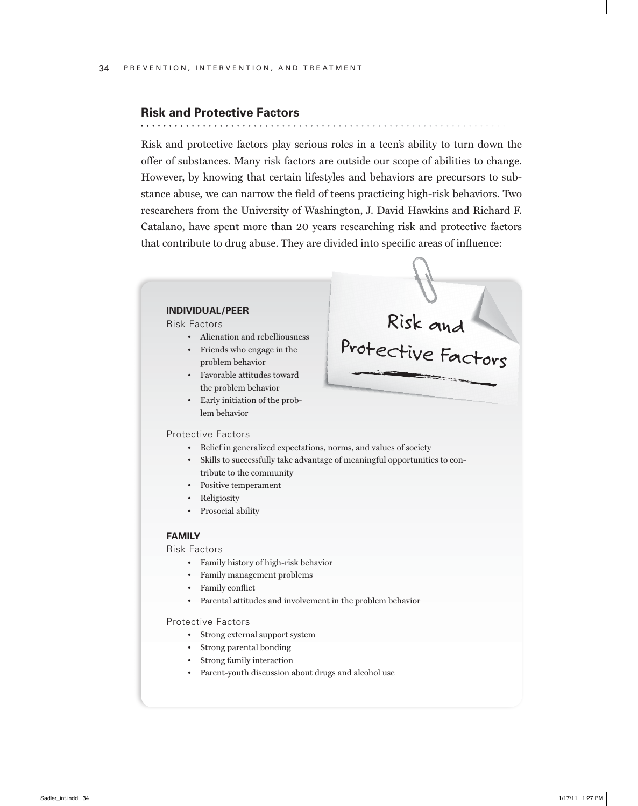# **Risk and Protective Factors**

Risk and protective factors play serious roles in a teen's ability to turn down the offer of substances. Many risk factors are outside our scope of abilities to change. However, by knowing that certain lifestyles and behaviors are precursors to substance abuse, we can narrow the field of teens practicing high-risk behaviors. Two researchers from the University of Washington, J. David Hawkins and Richard F. Catalano, have spent more than 20 years researching risk and protective factors that contribute to drug abuse. They are divided into specific areas of influence:



### Protective Factors

lem behavior

**INDIVIDUAL/PEER**  Risk Factors

- Belief in generalized expectations, norms, and values of society
- Skills to successfully take advantage of meaningful opportunities to contribute to the community
- Positive temperament

• Friends who engage in the problem behavior • Favorable attitudes toward the problem behavior • Early initiation of the prob-

- Religiosity
- Prosocial ability

#### **FAMILY**

Risk Factors

- Family history of high-risk behavior
- Family management problems
- Family conflict
- Parental attitudes and involvement in the problem behavior

Protective Factors

- Strong external support system
- Strong parental bonding
- Strong family interaction
- Parent-youth discussion about drugs and alcohol use